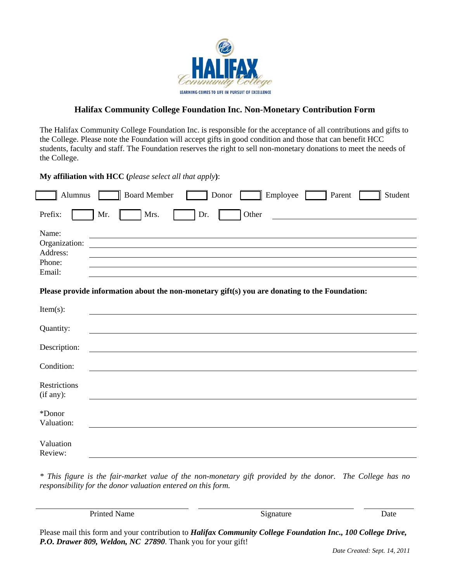

## **Halifax Community College Foundation Inc. Non-Monetary Contribution Form**

The Halifax Community College Foundation Inc. is responsible for the acceptance of all contributions and gifts to the College. Please note the Foundation will accept gifts in good condition and those that can benefit HCC students, faculty and staff. The Foundation reserves the right to sell non-monetary donations to meet the needs of the College.

**My affiliation with HCC (***please select all that apply***)**:

| Alumnus                                                                                       | <b>Board Member</b><br>Employee<br>Parent<br>Student<br>Donor |  |  |  |  |
|-----------------------------------------------------------------------------------------------|---------------------------------------------------------------|--|--|--|--|
| Prefix:                                                                                       | Mr.<br>Mrs.<br>Dr.<br>Other                                   |  |  |  |  |
| Name:<br>Organization:<br>Address:<br>Phone:<br>Email:                                        |                                                               |  |  |  |  |
| Please provide information about the non-monetary gift(s) you are donating to the Foundation: |                                                               |  |  |  |  |
| $Item(s)$ :                                                                                   |                                                               |  |  |  |  |
| Quantity:                                                                                     |                                                               |  |  |  |  |
| Description:                                                                                  |                                                               |  |  |  |  |
| Condition:                                                                                    |                                                               |  |  |  |  |
| Restrictions<br>(if any):                                                                     |                                                               |  |  |  |  |
| *Donor<br>Valuation:                                                                          |                                                               |  |  |  |  |
| Valuation<br>Review:                                                                          |                                                               |  |  |  |  |

*\* This figure is the fair-market value of the non-monetary gift provided by the donor. The College has no responsibility for the donor valuation entered on this form.* 

Printed Name Date Signature Signature Date

Please mail this form and your contribution to *Halifax Community College Foundation Inc., 100 College Drive, P.O. Drawer 809, Weldon, NC 27890*. Thank you for your gift!